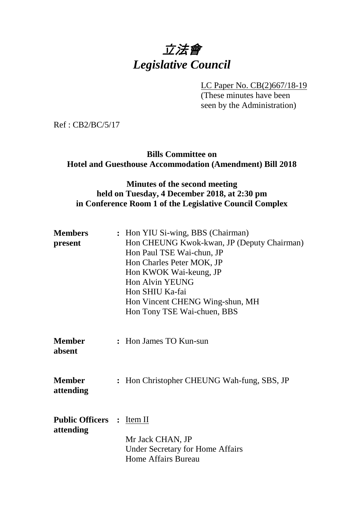# 立法會 *Legislative Council*

LC Paper No. CB(2)667/18-19

(These minutes have been seen by the Administration)

Ref : CB2/BC/5/17

**Bills Committee on Hotel and Guesthouse Accommodation (Amendment) Bill 2018**

### **Minutes of the second meeting held on Tuesday, 4 December 2018, at 2:30 pm in Conference Room 1 of the Legislative Council Complex**

| <b>Members</b><br>present                     | : Hon YIU Si-wing, BBS (Chairman)<br>Hon CHEUNG Kwok-kwan, JP (Deputy Chairman)<br>Hon Paul TSE Wai-chun, JP<br>Hon Charles Peter MOK, JP<br>Hon KWOK Wai-keung, JP<br><b>Hon Alvin YEUNG</b><br>Hon SHIU Ka-fai<br>Hon Vincent CHENG Wing-shun, MH<br>Hon Tony TSE Wai-chuen, BBS |
|-----------------------------------------------|------------------------------------------------------------------------------------------------------------------------------------------------------------------------------------------------------------------------------------------------------------------------------------|
| <b>Member</b><br>absent                       | : Hon James TO Kun-sun                                                                                                                                                                                                                                                             |
| <b>Member</b><br>attending                    | : Hon Christopher CHEUNG Wah-fung, SBS, JP                                                                                                                                                                                                                                         |
| <b>Public Officers :</b> Item II<br>attending | Mr Jack CHAN, JP<br><b>Under Secretary for Home Affairs</b><br>Home Affairs Bureau                                                                                                                                                                                                 |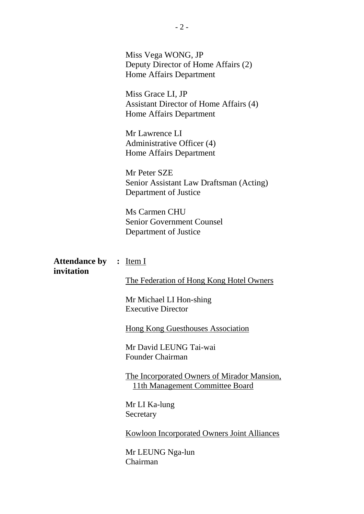|                                            | Miss Vega WONG, JP<br>Deputy Director of Home Affairs (2)<br>Home Affairs Department                                                                                                                                                                                                          |
|--------------------------------------------|-----------------------------------------------------------------------------------------------------------------------------------------------------------------------------------------------------------------------------------------------------------------------------------------------|
|                                            | Miss Grace LI, JP<br>Assistant Director of Home Affairs (4)<br>Home Affairs Department                                                                                                                                                                                                        |
|                                            | Mr Lawrence LI<br>Administrative Officer (4)<br>Home Affairs Department                                                                                                                                                                                                                       |
|                                            | Mr Peter SZE<br>Senior Assistant Law Draftsman (Acting)<br>Department of Justice                                                                                                                                                                                                              |
|                                            | Ms Carmen CHU<br><b>Senior Government Counsel</b><br>Department of Justice                                                                                                                                                                                                                    |
| <b>Attendance by : lem I</b><br>invitation | The Federation of Hong Kong Hotel Owners<br>Mr Michael LI Hon-shing<br><b>Executive Director</b><br><b>Hong Kong Guesthouses Association</b><br>Mr David LEUNG Tai-wai<br>Founder Chairman<br>The Incorporated Owners of Mirador Mansion,<br>11th Management Committee Board<br>Mr LI Ka-lung |
|                                            | Secretary                                                                                                                                                                                                                                                                                     |
|                                            | <b>Kowloon Incorporated Owners Joint Alliances</b>                                                                                                                                                                                                                                            |
|                                            | Mr LEUNG Nga-lun<br>Chairman                                                                                                                                                                                                                                                                  |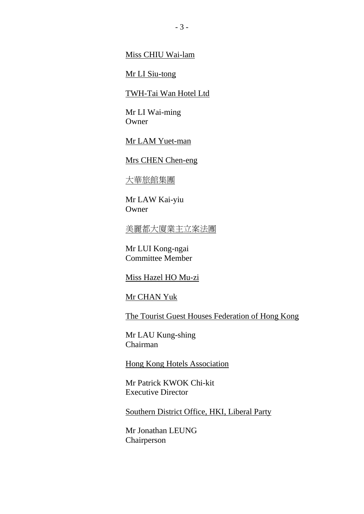Miss CHIU Wai-lam

Mr LI Siu-tong

TWH-Tai Wan Hotel Ltd

Mr LI Wai-ming Owner

Mr LAM Yuet-man

Mrs CHEN Chen-eng

大華旅館集團

Mr LAW Kai-yiu **Owner** 

美麗都大廈業主立案法團

Mr LUI Kong-ngai Committee Member

Miss Hazel HO Mu-zi

Mr CHAN Yuk

The Tourist Guest Houses Federation of Hong Kong

Mr LAU Kung-shing Chairman

Hong Kong Hotels Association

Mr Patrick KWOK Chi-kit Executive Director

Southern District Office, HKI, Liberal Party

Mr Jonathan LEUNG Chairperson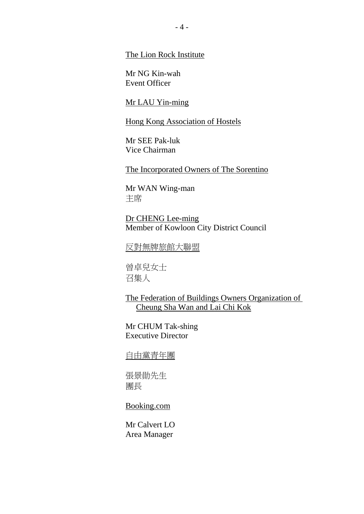The Lion Rock Institute

Mr NG Kin-wah Event Officer

Mr LAU Yin-ming

Hong Kong Association of Hostels

Mr SEE Pak-luk Vice Chairman

The Incorporated Owners of The Sorentino

Mr WAN Wing-man 主席

Dr CHENG Lee-ming Member of Kowloon City District Council

反對無牌旅館大聯盟

曾卓兒女士 召集人

The Federation of Buildings Owners Organization of Cheung Sha Wan and Lai Chi Kok

Mr CHUM Tak-shing Executive Director

自由黨青年團

張景勛先生 團長

Booking.com

Mr Calvert LO Area Manager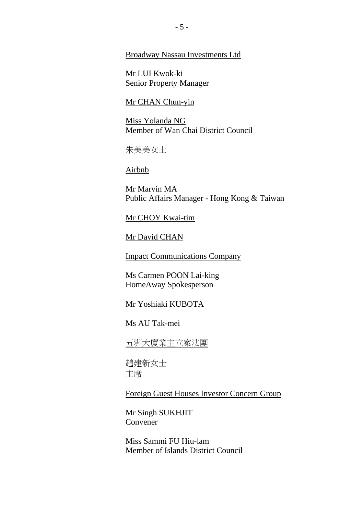Broadway Nassau Investments Ltd

Mr LUI Kwok-ki Senior Property Manager

#### Mr CHAN Chun-yin

Miss Yolanda NG Member of Wan Chai District Council

朱美美女士

Airbnb

Mr Marvin MA Public Affairs Manager - Hong Kong & Taiwan

Mr CHOY Kwai-tim

Mr David CHAN

Impact Communications Company

Ms Carmen POON Lai-king HomeAway Spokesperson

Mr Yoshiaki KUBOTA

Ms AU Tak-mei

五洲大廈業主立案法團

趙建新女士 主席

Foreign Guest Houses Investor Concern Group

Mr Singh SUKHJIT Convener

Miss Sammi FU Hiu-lam Member of Islands District Council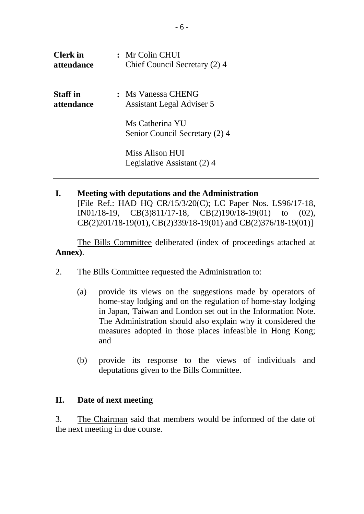| <b>Clerk</b> in | : Mr Colin CHUI                                   |
|-----------------|---------------------------------------------------|
| attendance      | Chief Council Secretary (2) 4                     |
| <b>Staff</b> in | : Ms Vanessa CHENG                                |
| attendance      | Assistant Legal Adviser 5                         |
|                 | Ms Catherina YU<br>Senior Council Secretary (2) 4 |
|                 | Miss Alison HUI<br>Legislative Assistant (2) 4    |

**I. Meeting with deputations and the Administration** [File Ref.: HAD HQ CR/15/3/20(C); LC Paper Nos. LS96/17-18, IN01/18-19, CB(3)811/17-18, CB(2)190/18-19(01) to (02), CB(2)201/18-19(01), CB(2)339/18-19(01) and CB(2)376/18-19(01)]

The Bills Committee deliberated (index of proceedings attached at **Annex)**.

- 2. The Bills Committee requested the Administration to:
	- (a) provide its views on the suggestions made by operators of home-stay lodging and on the regulation of home-stay lodging in Japan, Taiwan and London set out in the Information Note. The Administration should also explain why it considered the measures adopted in those places infeasible in Hong Kong; and
	- (b) provide its response to the views of individuals and deputations given to the Bills Committee.

#### **II. Date of next meeting**

3. The Chairman said that members would be informed of the date of the next meeting in due course.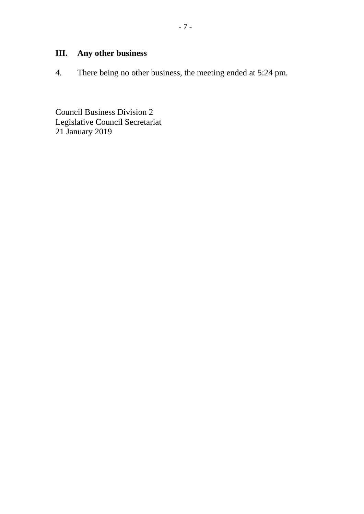# **III. Any other business**

4. There being no other business, the meeting ended at 5:24 pm.

Council Business Division 2 Legislative Council Secretariat 21 January 2019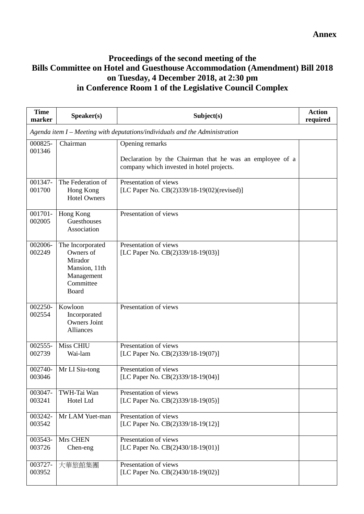## **Proceedings of the second meeting of the Bills Committee on Hotel and Guesthouse Accommodation (Amendment) Bill 2018 on Tuesday, 4 December 2018, at 2:30 pm in Conference Room 1 of the Legislative Council Complex**

| <b>Time</b><br>marker | Speaker(s)                                                                                    | Subject(s)                                                                                                               | <b>Action</b><br>required |  |
|-----------------------|-----------------------------------------------------------------------------------------------|--------------------------------------------------------------------------------------------------------------------------|---------------------------|--|
|                       | Agenda item I - Meeting with deputations/individuals and the Administration                   |                                                                                                                          |                           |  |
| 000825-<br>001346     | Chairman                                                                                      | Opening remarks<br>Declaration by the Chairman that he was an employee of a<br>company which invested in hotel projects. |                           |  |
| 001347-<br>001700     | The Federation of<br>Hong Kong<br><b>Hotel Owners</b>                                         | Presentation of views<br>[LC Paper No. CB(2)339/18-19(02)(revised)]                                                      |                           |  |
| 001701-<br>002005     | Hong Kong<br>Guesthouses<br>Association                                                       | Presentation of views                                                                                                    |                           |  |
| 002006-<br>002249     | The Incorporated<br>Owners of<br>Mirador<br>Mansion, 11th<br>Management<br>Committee<br>Board | Presentation of views<br>[LC Paper No. CB(2)339/18-19(03)]                                                               |                           |  |
| 002250-<br>002554     | Kowloon<br>Incorporated<br><b>Owners Joint</b><br><b>Alliances</b>                            | Presentation of views                                                                                                    |                           |  |
| 002555-<br>002739     | Miss CHIU<br>Wai-lam                                                                          | Presentation of views<br>[LC Paper No. CB(2)339/18-19(07)]                                                               |                           |  |
| 002740-<br>003046     | Mr LI Siu-tong                                                                                | Presentation of views<br>[LC Paper No. CB(2)339/18-19(04)]                                                               |                           |  |
| 003047-<br>003241     | TWH-Tai Wan<br>Hotel Ltd                                                                      | Presentation of views<br>[LC Paper No. CB(2)339/18-19(05)]                                                               |                           |  |
| 003242-<br>003542     | Mr LAM Yuet-man                                                                               | Presentation of views<br>[LC Paper No. CB(2)339/18-19(12)]                                                               |                           |  |
| 003543-<br>003726     | Mrs CHEN<br>Chen-eng                                                                          | Presentation of views<br>[LC Paper No. CB(2)430/18-19(01)]                                                               |                           |  |
| 003727-<br>003952     | 大華旅館集團                                                                                        | Presentation of views<br>[LC Paper No. CB(2)430/18-19(02)]                                                               |                           |  |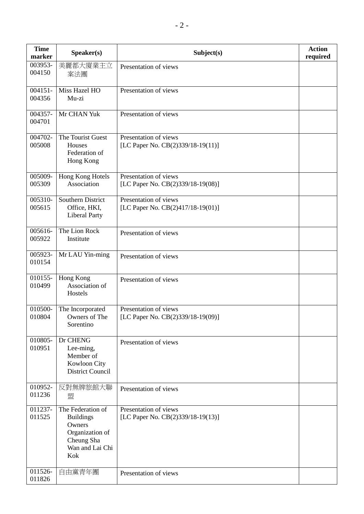| <b>Time</b><br>marker           | Speaker(s)                                                                                                 | Subject(s)                                                 | <b>Action</b><br>required |
|---------------------------------|------------------------------------------------------------------------------------------------------------|------------------------------------------------------------|---------------------------|
| 003953-<br>004150               | 美麗都大廈業主立<br>案法團                                                                                            | Presentation of views                                      |                           |
| 004151-<br>004356               | Miss Hazel HO<br>Mu-zi                                                                                     | Presentation of views                                      |                           |
| 004357-<br>004701               | Mr CHAN Yuk                                                                                                | Presentation of views                                      |                           |
| 004702-<br>005008               | The Tourist Guest<br>Houses<br>Federation of<br>Hong Kong                                                  | Presentation of views<br>[LC Paper No. CB(2)339/18-19(11)] |                           |
| 005009-<br>005309               | Hong Kong Hotels<br>Association                                                                            | Presentation of views<br>[LC Paper No. CB(2)339/18-19(08)] |                           |
| 005310-<br>005615               | Southern District<br>Office, HKI,<br><b>Liberal Party</b>                                                  | Presentation of views<br>[LC Paper No. CB(2)417/18-19(01)] |                           |
| 005616-<br>005922               | The Lion Rock<br>Institute                                                                                 | Presentation of views                                      |                           |
| 005923-<br>010154               | Mr LAU Yin-ming                                                                                            | Presentation of views                                      |                           |
| 010155-<br>010499               | Hong Kong<br>Association of<br>Hostels                                                                     | Presentation of views                                      |                           |
| 010500-<br>010804               | The Incorporated<br>Owners of The<br>Sorentino                                                             | Presentation of views<br>[LC Paper No. CB(2)339/18-19(09)] |                           |
| 010805-<br>010951               | Dr CHENG<br>Lee-ming,<br>Member of<br>Kowloon City<br><b>District Council</b>                              | Presentation of views                                      |                           |
| 010952-<br>011236               | 反對無牌旅館大聯<br>盟                                                                                              | Presentation of views                                      |                           |
| $\overline{0}11237 -$<br>011525 | The Federation of<br><b>Buildings</b><br>Owners<br>Organization of<br>Cheung Sha<br>Wan and Lai Chi<br>Kok | Presentation of views<br>[LC Paper No. CB(2)339/18-19(13)] |                           |
| 011526-<br>011826               | 自由黨青年團                                                                                                     | Presentation of views                                      |                           |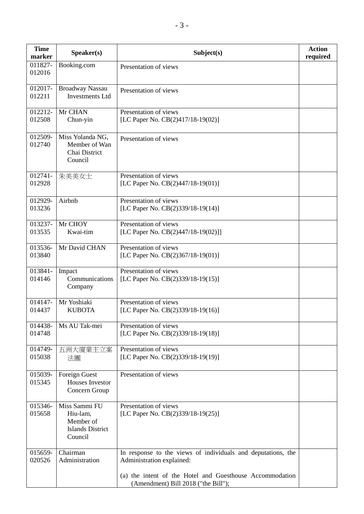| <b>Time</b><br>marker | Speaker(s)                                                                   | Subject(s)                                                                                      | <b>Action</b><br>required |
|-----------------------|------------------------------------------------------------------------------|-------------------------------------------------------------------------------------------------|---------------------------|
| 011827-<br>012016     | Booking.com                                                                  | Presentation of views                                                                           |                           |
| 012017-<br>012211     | <b>Broadway Nassau</b><br><b>Investments Ltd</b>                             | Presentation of views                                                                           |                           |
| 012212-<br>012508     | Mr CHAN<br>Chun-yin                                                          | Presentation of views<br>[LC Paper No. CB(2)417/18-19(02)]                                      |                           |
| 012509-<br>012740     | Miss Yolanda NG,<br>Member of Wan<br>Chai District<br>Council                | Presentation of views                                                                           |                           |
| 012741-<br>012928     | 朱美美女士                                                                        | Presentation of views<br>[LC Paper No. CB(2)447/18-19(01)]                                      |                           |
| 012929-<br>013236     | Airbnb                                                                       | Presentation of views<br>[LC Paper No. CB(2)339/18-19(14)]                                      |                           |
| 013237-<br>013535     | Mr CHOY<br>Kwai-tim                                                          | Presentation of views<br>[LC Paper No. CB(2)447/18-19(02)]]                                     |                           |
| 013536-<br>013840     | Mr David CHAN                                                                | Presentation of views<br>[LC Paper No. CB(2)367/18-19(01)]                                      |                           |
| 013841-<br>014146     | Impact<br>Communications<br>Company                                          | Presentation of views<br>[LC Paper No. CB(2)339/18-19(15)]                                      |                           |
| 014147-<br>014437     | Mr Yoshiaki<br><b>KUBOTA</b>                                                 | Presentation of views<br>[LC Paper No. CB(2)339/18-19(16)]                                      |                           |
| 014438-<br>014748     | Ms AU Tak-mei                                                                | Presentation of views<br>[LC Paper No. CB(2)339/18-19(18)]                                      |                           |
| 014749-<br>015038     | 五洲大廈業主立案<br>法團                                                               | Presentation of views<br>[LC Paper No. CB(2)339/18-19(19)]                                      |                           |
| 015039-<br>015345     | Foreign Guest<br>Houses Investor<br>Concern Group                            | Presentation of views                                                                           |                           |
| 015346-<br>015658     | Miss Sammi FU<br>Hiu-lam,<br>Member of<br><b>Islands District</b><br>Council | Presentation of views<br>[LC Paper No. CB(2)339/18-19(25)]                                      |                           |
| 015659-<br>020526     | Chairman<br>Administration                                                   | In response to the views of individuals and deputations, the<br>Administration explained:       |                           |
|                       |                                                                              | (a) the intent of the Hotel and Guesthouse Accommodation<br>(Amendment) Bill 2018 ("the Bill"); |                           |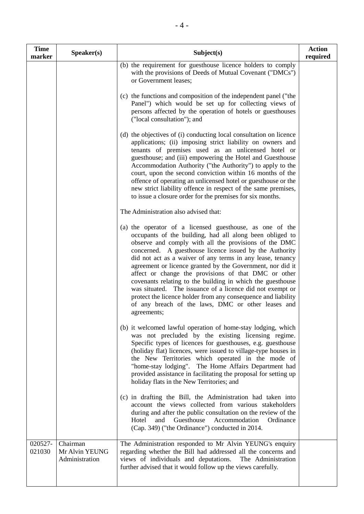| <b>Time</b><br>marker | Speaker(s)                                   | Subject(s)                                                                                                                                                                                                                                                                                                                                                                                                                                                                                                                                                                                                                                                                                                                                                                                | <b>Action</b><br>required |
|-----------------------|----------------------------------------------|-------------------------------------------------------------------------------------------------------------------------------------------------------------------------------------------------------------------------------------------------------------------------------------------------------------------------------------------------------------------------------------------------------------------------------------------------------------------------------------------------------------------------------------------------------------------------------------------------------------------------------------------------------------------------------------------------------------------------------------------------------------------------------------------|---------------------------|
|                       |                                              | (b) the requirement for guesthouse licence holders to comply<br>with the provisions of Deeds of Mutual Covenant ("DMCs")<br>or Government leases;                                                                                                                                                                                                                                                                                                                                                                                                                                                                                                                                                                                                                                         |                           |
|                       |                                              | (c) the functions and composition of the independent panel ("the<br>Panel") which would be set up for collecting views of<br>persons affected by the operation of hotels or guesthouses<br>("local consultation"); and                                                                                                                                                                                                                                                                                                                                                                                                                                                                                                                                                                    |                           |
|                       |                                              | (d) the objectives of (i) conducting local consultation on licence<br>applications; (ii) imposing strict liability on owners and<br>tenants of premises used as an unlicensed hotel or<br>guesthouse; and (iii) empowering the Hotel and Guesthouse<br>Accommodation Authority ("the Authority") to apply to the<br>court, upon the second conviction within 16 months of the<br>offence of operating an unlicensed hotel or guesthouse or the<br>new strict liability offence in respect of the same premises,<br>to issue a closure order for the premises for six months.                                                                                                                                                                                                              |                           |
|                       |                                              | The Administration also advised that:                                                                                                                                                                                                                                                                                                                                                                                                                                                                                                                                                                                                                                                                                                                                                     |                           |
|                       |                                              | (a) the operator of a licensed guesthouse, as one of the<br>occupants of the building, had all along been obliged to<br>observe and comply with all the provisions of the DMC<br>concerned. A guesthouse licence issued by the Authority<br>did not act as a waiver of any terms in any lease, tenancy<br>agreement or licence granted by the Government, nor did it<br>affect or change the provisions of that DMC or other<br>covenants relating to the building in which the guesthouse<br>was situated. The issuance of a licence did not exempt or<br>protect the licence holder from any consequence and liability<br>of any breach of the laws, DMC or other leases and<br>agreements;                                                                                             |                           |
|                       |                                              | (b) it welcomed lawful operation of home-stay lodging, which<br>was not precluded by the existing licensing regime.<br>Specific types of licences for guesthouses, e.g. guesthouse<br>(holiday flat) licences, were issued to village-type houses in<br>the New Territories which operated in the mode of<br>"home-stay lodging". The Home Affairs Department had<br>provided assistance in facilitating the proposal for setting up<br>holiday flats in the New Territories; and<br>(c) in drafting the Bill, the Administration had taken into<br>account the views collected from various stakeholders<br>during and after the public consultation on the review of the<br>Guesthouse<br>Accommodation<br>Ordinance<br>and<br>Hotel<br>(Cap. 349) ("the Ordinance") conducted in 2014. |                           |
| 020527-<br>021030     | Chairman<br>Mr Alvin YEUNG<br>Administration | The Administration responded to Mr Alvin YEUNG's enquiry<br>regarding whether the Bill had addressed all the concerns and<br>views of individuals and deputations.<br>The Administration<br>further advised that it would follow up the views carefully.                                                                                                                                                                                                                                                                                                                                                                                                                                                                                                                                  |                           |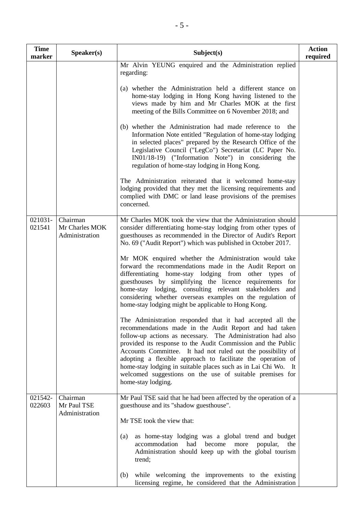| <b>Time</b><br>marker | Speaker(s)                                   | Subject(s)                                                                                                                                                                                                                                                                                                                                                                                                                                                                                                                                | <b>Action</b><br>required |
|-----------------------|----------------------------------------------|-------------------------------------------------------------------------------------------------------------------------------------------------------------------------------------------------------------------------------------------------------------------------------------------------------------------------------------------------------------------------------------------------------------------------------------------------------------------------------------------------------------------------------------------|---------------------------|
|                       |                                              | Mr Alvin YEUNG enquired and the Administration replied<br>regarding:                                                                                                                                                                                                                                                                                                                                                                                                                                                                      |                           |
|                       |                                              | (a) whether the Administration held a different stance on<br>home-stay lodging in Hong Kong having listened to the<br>views made by him and Mr Charles MOK at the first<br>meeting of the Bills Committee on 6 November 2018; and                                                                                                                                                                                                                                                                                                         |                           |
|                       |                                              | (b) whether the Administration had made reference to<br>the<br>Information Note entitled "Regulation of home-stay lodging<br>in selected places" prepared by the Research Office of the<br>Legislative Council ("LegCo") Secretariat (LC Paper No.<br>IN01/18-19) ("Information Note") in considering the<br>regulation of home-stay lodging in Hong Kong.                                                                                                                                                                                |                           |
|                       |                                              | The Administration reiterated that it welcomed home-stay<br>lodging provided that they met the licensing requirements and<br>complied with DMC or land lease provisions of the premises<br>concerned.                                                                                                                                                                                                                                                                                                                                     |                           |
| 021031-<br>021541     | Chairman<br>Mr Charles MOK<br>Administration | Mr Charles MOK took the view that the Administration should<br>consider differentiating home-stay lodging from other types of<br>guesthouses as recommended in the Director of Audit's Report<br>No. 69 ("Audit Report") which was published in October 2017.                                                                                                                                                                                                                                                                             |                           |
|                       |                                              | Mr MOK enquired whether the Administration would take<br>forward the recommendations made in the Audit Report on<br>differentiating home-stay lodging from other types<br>of<br>guesthouses by simplifying the licence requirements<br>for<br>home-stay lodging, consulting relevant stakeholders<br>and<br>considering whether overseas examples on the regulation of<br>home-stay lodging might be applicable to Hong Kong.                                                                                                             |                           |
|                       |                                              | The Administration responded that it had accepted all the<br>recommendations made in the Audit Report and had taken<br>follow-up actions as necessary. The Administration had also<br>provided its response to the Audit Commission and the Public<br>Accounts Committee. It had not ruled out the possibility of<br>adopting a flexible approach to facilitate the operation of<br>home-stay lodging in suitable places such as in Lai Chi Wo.<br>- It<br>welcomed suggestions on the use of suitable premises for<br>home-stay lodging. |                           |
| 021542-<br>022603     | Chairman<br>Mr Paul TSE<br>Administration    | Mr Paul TSE said that he had been affected by the operation of a<br>guesthouse and its "shadow guesthouse".                                                                                                                                                                                                                                                                                                                                                                                                                               |                           |
|                       |                                              | Mr TSE took the view that:                                                                                                                                                                                                                                                                                                                                                                                                                                                                                                                |                           |
|                       |                                              | as home-stay lodging was a global trend and budget<br>(a)<br>accommodation<br>had<br>become<br>popular,<br>more<br>the<br>Administration should keep up with the global tourism<br>trend;                                                                                                                                                                                                                                                                                                                                                 |                           |
|                       |                                              | while welcoming the improvements to the existing<br>(b)<br>licensing regime, he considered that the Administration                                                                                                                                                                                                                                                                                                                                                                                                                        |                           |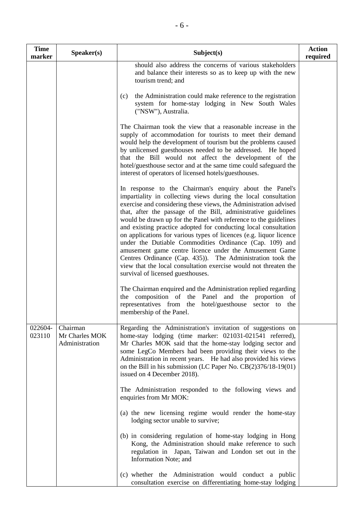| <b>Time</b><br>marker | Speaker(s)                                   | Subject(s)                                                                                                                                                                                                                                                                                                                                                                                                                                                                                                                                                                                                                                                                                                                                                               | <b>Action</b><br>required |
|-----------------------|----------------------------------------------|--------------------------------------------------------------------------------------------------------------------------------------------------------------------------------------------------------------------------------------------------------------------------------------------------------------------------------------------------------------------------------------------------------------------------------------------------------------------------------------------------------------------------------------------------------------------------------------------------------------------------------------------------------------------------------------------------------------------------------------------------------------------------|---------------------------|
|                       |                                              | should also address the concerns of various stakeholders<br>and balance their interests so as to keep up with the new<br>tourism trend; and                                                                                                                                                                                                                                                                                                                                                                                                                                                                                                                                                                                                                              |                           |
|                       |                                              | the Administration could make reference to the registration<br>(c)<br>system for home-stay lodging in New South Wales<br>("NSW"), Australia.                                                                                                                                                                                                                                                                                                                                                                                                                                                                                                                                                                                                                             |                           |
|                       |                                              | The Chairman took the view that a reasonable increase in the<br>supply of accommodation for tourists to meet their demand<br>would help the development of tourism but the problems caused<br>by unlicensed guesthouses needed to be addressed. He hoped<br>that the Bill would not affect the development of the<br>hotel/guesthouse sector and at the same time could safeguard the<br>interest of operators of licensed hotels/guesthouses.                                                                                                                                                                                                                                                                                                                           |                           |
|                       |                                              | In response to the Chairman's enquiry about the Panel's<br>impartiality in collecting views during the local consultation<br>exercise and considering these views, the Administration advised<br>that, after the passage of the Bill, administrative guidelines<br>would be drawn up for the Panel with reference to the guidelines<br>and existing practice adopted for conducting local consultation<br>on applications for various types of licences (e.g. liquor licence<br>under the Dutiable Commodities Ordinance (Cap. 109) and<br>amusement game centre licence under the Amusement Game<br>Centres Ordinance (Cap. 435)). The Administration took the<br>view that the local consultation exercise would not threaten the<br>survival of licensed guesthouses. |                           |
|                       |                                              | The Chairman enquired and the Administration replied regarding<br>the composition of the Panel and the proportion<br>of<br>representatives from the hotel/guesthouse<br>sector to<br>the<br>membership of the Panel.                                                                                                                                                                                                                                                                                                                                                                                                                                                                                                                                                     |                           |
| 022604-<br>023110     | Chairman<br>Mr Charles MOK<br>Administration | Regarding the Administration's invitation of suggestions on<br>home-stay lodging (time marker: 021031-021541 referred),<br>Mr Charles MOK said that the home-stay lodging sector and<br>some LegCo Members had been providing their views to the<br>Administration in recent years. He had also provided his views<br>on the Bill in his submission (LC Paper No. CB(2)376/18-19(01)<br>issued on 4 December 2018).                                                                                                                                                                                                                                                                                                                                                      |                           |
|                       |                                              | The Administration responded to the following views and<br>enquiries from Mr MOK:                                                                                                                                                                                                                                                                                                                                                                                                                                                                                                                                                                                                                                                                                        |                           |
|                       |                                              | (a) the new licensing regime would render the home-stay<br>lodging sector unable to survive;                                                                                                                                                                                                                                                                                                                                                                                                                                                                                                                                                                                                                                                                             |                           |
|                       |                                              | (b) in considering regulation of home-stay lodging in Hong<br>Kong, the Administration should make reference to such<br>regulation in Japan, Taiwan and London set out in the<br>Information Note; and                                                                                                                                                                                                                                                                                                                                                                                                                                                                                                                                                                   |                           |
|                       |                                              | (c) whether the Administration would conduct a public<br>consultation exercise on differentiating home-stay lodging                                                                                                                                                                                                                                                                                                                                                                                                                                                                                                                                                                                                                                                      |                           |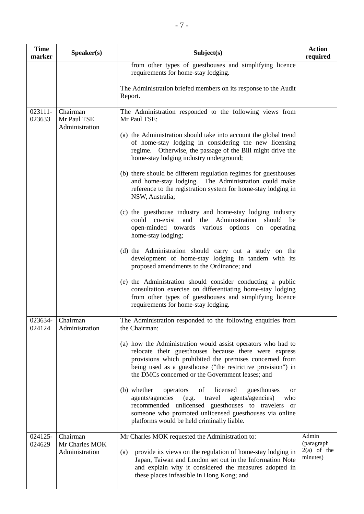| <b>Time</b><br>marker | Speaker(s)                                   | Subject(s)                                                                                                                                                                                                                                                                                             | <b>Action</b><br>required                        |
|-----------------------|----------------------------------------------|--------------------------------------------------------------------------------------------------------------------------------------------------------------------------------------------------------------------------------------------------------------------------------------------------------|--------------------------------------------------|
|                       |                                              | from other types of guesthouses and simplifying licence<br>requirements for home-stay lodging.                                                                                                                                                                                                         |                                                  |
|                       |                                              | The Administration briefed members on its response to the Audit<br>Report.                                                                                                                                                                                                                             |                                                  |
| 023111-<br>023633     | Chairman<br>Mr Paul TSE<br>Administration    | The Administration responded to the following views from<br>Mr Paul TSE:                                                                                                                                                                                                                               |                                                  |
|                       |                                              | (a) the Administration should take into account the global trend<br>of home-stay lodging in considering the new licensing<br>regime. Otherwise, the passage of the Bill might drive the<br>home-stay lodging industry underground;                                                                     |                                                  |
|                       |                                              | (b) there should be different regulation regimes for guesthouses<br>and home-stay lodging. The Administration could make<br>reference to the registration system for home-stay lodging in<br>NSW, Australia;                                                                                           |                                                  |
|                       |                                              | (c) the guesthouse industry and home-stay lodging industry<br>Administration<br>and the<br>could<br>co-exist<br>should<br>be<br>open-minded towards various options on<br>operating<br>home-stay lodging;                                                                                              |                                                  |
|                       |                                              | (d) the Administration should carry out a study on the<br>development of home-stay lodging in tandem with its<br>proposed amendments to the Ordinance; and                                                                                                                                             |                                                  |
|                       |                                              | (e) the Administration should consider conducting a public<br>consultation exercise on differentiating home-stay lodging<br>from other types of guesthouses and simplifying licence<br>requirements for home-stay lodging.                                                                             |                                                  |
| 023634-<br>024124     | Chairman<br>Administration                   | The Administration responded to the following enquiries from<br>the Chairman:                                                                                                                                                                                                                          |                                                  |
|                       |                                              | (a) how the Administration would assist operators who had to<br>relocate their guesthouses because there were express<br>provisions which prohibited the premises concerned from<br>being used as a guesthouse ("the restrictive provision") in<br>the DMCs concerned or the Government leases; and    |                                                  |
|                       |                                              | (b) whether<br>licensed<br>operators<br>of<br>guesthouses<br><sub>or</sub><br>travel<br>agents/agencies)<br>agents/agencies (e.g.<br>who<br>recommended unlicensed guesthouses to travelers or<br>someone who promoted unlicensed guesthouses via online<br>platforms would be held criminally liable. |                                                  |
| 024125-<br>024629     | Chairman<br>Mr Charles MOK<br>Administration | Mr Charles MOK requested the Administration to:<br>provide its views on the regulation of home-stay lodging in<br>(a)<br>Japan, Taiwan and London set out in the Information Note<br>and explain why it considered the measures adopted in<br>these places infeasible in Hong Kong; and                | Admin<br>(paragraph<br>$2(a)$ of the<br>minutes) |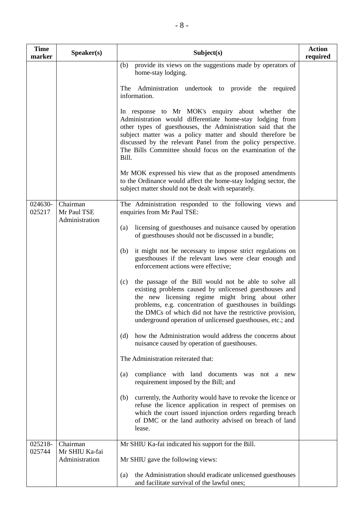| <b>Time</b><br>marker | Speaker(s)                                   | Subject(s)                                                                                                                                                                                                                                                                                                                                                                                                                                                                                                                                                                                                                                                                                                                                                                                                                                                                                                                                                                                                                                                                                                                                                                                                                                                                                  | <b>Action</b><br>required |
|-----------------------|----------------------------------------------|---------------------------------------------------------------------------------------------------------------------------------------------------------------------------------------------------------------------------------------------------------------------------------------------------------------------------------------------------------------------------------------------------------------------------------------------------------------------------------------------------------------------------------------------------------------------------------------------------------------------------------------------------------------------------------------------------------------------------------------------------------------------------------------------------------------------------------------------------------------------------------------------------------------------------------------------------------------------------------------------------------------------------------------------------------------------------------------------------------------------------------------------------------------------------------------------------------------------------------------------------------------------------------------------|---------------------------|
|                       |                                              | (b) provide its views on the suggestions made by operators of<br>home-stay lodging.<br>The<br>Administration undertook to provide the required<br>information.<br>In response to Mr MOK's enquiry about whether the<br>Administration would differentiate home-stay lodging from<br>other types of guesthouses, the Administration said that the<br>subject matter was a policy matter and should therefore be<br>discussed by the relevant Panel from the policy perspective.<br>The Bills Committee should focus on the examination of the<br>Bill.<br>Mr MOK expressed his view that as the proposed amendments<br>to the Ordinance would affect the home-stay lodging sector, the<br>subject matter should not be dealt with separately.                                                                                                                                                                                                                                                                                                                                                                                                                                                                                                                                                |                           |
| 024630-<br>025217     | Chairman<br>Mr Paul TSE<br>Administration    | The Administration responded to the following views and<br>enquiries from Mr Paul TSE:<br>licensing of guesthouses and nuisance caused by operation<br>(a)<br>of guesthouses should not be discussed in a bundle;<br>it might not be necessary to impose strict regulations on<br>(b)<br>guesthouses if the relevant laws were clear enough and<br>enforcement actions were effective;<br>the passage of the Bill would not be able to solve all<br>(c)<br>existing problems caused by unlicensed guesthouses and<br>the new licensing regime might bring about other<br>problems, e.g. concentration of guesthouses in buildings<br>the DMCs of which did not have the restrictive provision,<br>underground operation of unlicensed guesthouses, etc.; and<br>how the Administration would address the concerns about<br>(d)<br>nuisance caused by operation of guesthouses.<br>The Administration reiterated that:<br>compliance with land documents<br>(a)<br>was not a new<br>requirement imposed by the Bill; and<br>currently, the Authority would have to revoke the licence or<br>(b)<br>refuse the licence application in respect of premises on<br>which the court issued injunction orders regarding breach<br>of DMC or the land authority advised on breach of land<br>lease. |                           |
| 025218-<br>025744     | Chairman<br>Mr SHIU Ka-fai<br>Administration | Mr SHIU Ka-fai indicated his support for the Bill.<br>Mr SHIU gave the following views:<br>the Administration should eradicate unlicensed guesthouses<br>(a)<br>and facilitate survival of the lawful ones;                                                                                                                                                                                                                                                                                                                                                                                                                                                                                                                                                                                                                                                                                                                                                                                                                                                                                                                                                                                                                                                                                 |                           |